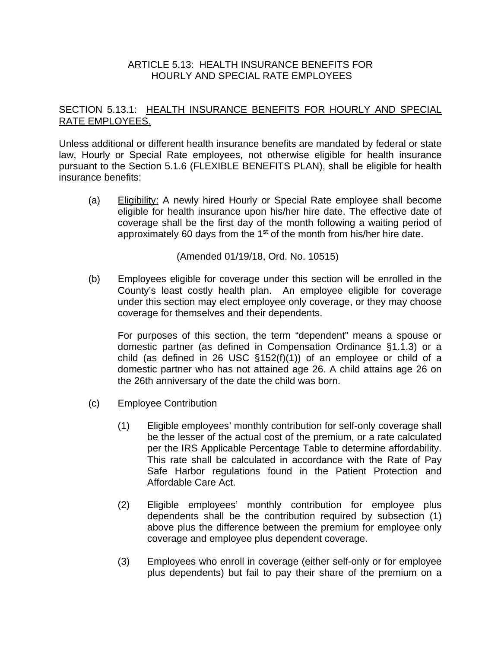## ARTICLE 5.13: HEALTH INSURANCE BENEFITS FOR HOURLY AND SPECIAL RATE EMPLOYEES

## SECTION 5.13.1: HEALTH INSURANCE BENEFITS FOR HOURLY AND SPECIAL RATE EMPLOYEES.

Unless additional or different health insurance benefits are mandated by federal or state law, Hourly or Special Rate employees, not otherwise eligible for health insurance pursuant to the Section 5.1.6 (FLEXIBLE BENEFITS PLAN), shall be eligible for health insurance benefits:

(a) Eligibility: A newly hired Hourly or Special Rate employee shall become eligible for health insurance upon his/her hire date. The effective date of coverage shall be the first day of the month following a waiting period of approximately 60 days from the 1st of the month from his/her hire date.

(Amended 01/19/18, Ord. No. 10515)

(b) Employees eligible for coverage under this section will be enrolled in the County's least costly health plan. An employee eligible for coverage under this section may elect employee only coverage, or they may choose coverage for themselves and their dependents.

For purposes of this section, the term "dependent" means a spouse or domestic partner (as defined in Compensation Ordinance §1.1.3) or a child (as defined in 26 USC §152(f)(1)) of an employee or child of a domestic partner who has not attained age 26. A child attains age 26 on the 26th anniversary of the date the child was born.

- (c) Employee Contribution
	- (1) Eligible employees' monthly contribution for self-only coverage shall be the lesser of the actual cost of the premium, or a rate calculated per the IRS Applicable Percentage Table to determine affordability. This rate shall be calculated in accordance with the Rate of Pay Safe Harbor regulations found in the Patient Protection and Affordable Care Act.
	- (2) Eligible employees' monthly contribution for employee plus dependents shall be the contribution required by subsection (1) above plus the difference between the premium for employee only coverage and employee plus dependent coverage.
	- (3) Employees who enroll in coverage (either self-only or for employee plus dependents) but fail to pay their share of the premium on a